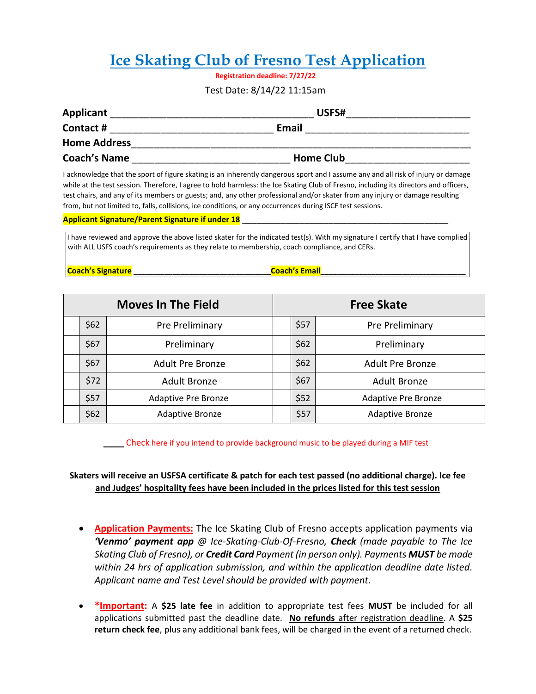# **Ice Skating Club of Fresno Test Application**

**Registration deadline: 7/27/22** 

## Test Date: 8/14/22 11:15am

| <b>Applicant</b>    | USFS#            |  |  |
|---------------------|------------------|--|--|
| Contact#            | <b>Email</b>     |  |  |
| <b>Home Address</b> |                  |  |  |
| <b>Coach's Name</b> | <b>Home Club</b> |  |  |

I acknowledge that the sport of figure skating is an inherently dangerous sport and I assume any and all risk of injury or damage while at the test session. Therefore, I agree to hold harmless: the Ice Skating Club of Fresno, including its directors and officers, test chairs, and any of its members or guests; and, any other professional and/or skater from any injury or damage resulting from, but not limited to, falls, collisions, ice conditions, or any occurrences during ISCF test sessions.

#### **Applicant Signature/Parent Signature if under 18** \_\_\_\_\_\_\_\_\_\_\_\_\_\_\_\_\_\_\_\_\_\_\_\_\_\_\_\_\_\_\_\_\_\_\_\_\_\_\_\_\_\_\_

I have reviewed and approve the above listed skater for the indicated test(s). With my signature I certify that I have complied with ALL USFS coach's requirements as they relate to membership, coach compliance, and CERs.

**Coach's Signature** \_\_\_\_\_\_\_\_\_\_\_\_\_\_\_\_\_\_\_\_\_\_\_\_\_\_\_\_\_\_\_\_\_\_\_**Coach's Email**\_\_\_\_\_\_\_\_\_\_\_\_\_\_\_\_\_\_\_\_\_\_\_\_\_\_\_\_\_\_\_\_\_\_\_\_\_

| <b>Moves In The Field</b> |      | <b>Free Skate</b>          |  |      |                            |
|---------------------------|------|----------------------------|--|------|----------------------------|
|                           | \$62 | Pre Preliminary            |  | \$57 | Pre Preliminary            |
|                           | \$67 | Preliminary                |  | \$62 | Preliminary                |
|                           | \$67 | <b>Adult Pre Bronze</b>    |  | \$62 | <b>Adult Pre Bronze</b>    |
|                           | \$72 | <b>Adult Bronze</b>        |  | \$67 | <b>Adult Bronze</b>        |
|                           | \$57 | <b>Adaptive Pre Bronze</b> |  | \$52 | <b>Adaptive Pre Bronze</b> |
|                           | \$62 | <b>Adaptive Bronze</b>     |  | \$57 | <b>Adaptive Bronze</b>     |

 **\_\_\_\_** Check here if you intend to provide background music to be played during a MIF test

# **Skaters will receive an USFSA certificate & patch for each test passed (no additional charge). Ice fee and Judges' hospitality fees have been included in the prices listed for this test session**

- **Application Payments:** The Ice Skating Club of Fresno accepts application payments via *'Venmo' payment app @ Ice-Skating-Club-Of-Fresno, Check (made payable to The Ice Skating Club of Fresno), or Credit Card Payment (in person only). Payments MUST be made within 24 hrs of application submission, and within the application deadline date listed. Applicant name and Test Level should be provided with payment.*
- **\*Important:** A **\$25 late fee** in addition to appropriate test fees **MUST** be included for all applications submitted past the deadline date. **No refunds** after registration deadline. A **\$25 return check fee**, plus any additional bank fees, will be charged in the event of a returned check.